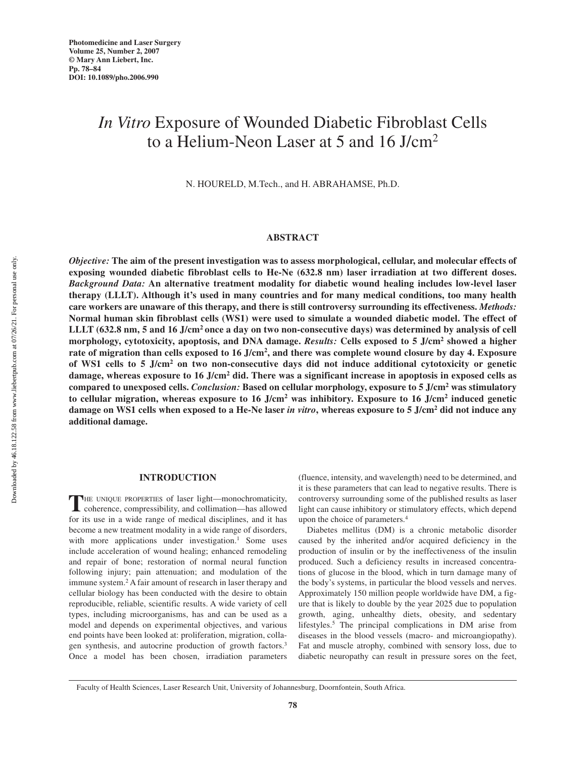# *In Vitro* Exposure of Wounded Diabetic Fibroblast Cells to a Helium-Neon Laser at 5 and 16 J/cm2

N. HOURELD, M.Tech., and H. ABRAHAMSE, Ph.D.

## **ABSTRACT**

*Objective:* **The aim of the present investigation was to assess morphological, cellular, and molecular effects of exposing wounded diabetic fibroblast cells to He-Ne (632.8 nm) laser irradiation at two different doses.** *Background Data:* **An alternative treatment modality for diabetic wound healing includes low-level laser therapy (LLLT). Although it's used in many countries and for many medical conditions, too many health care workers are unaware of this therapy, and there is still controversy surrounding its effectiveness.** *Methods:* **Normal human skin fibroblast cells (WS1) were used to simulate a wounded diabetic model. The effect of LLLT (632.8 nm, 5 and 16 J/cm2 once a day on two non-consecutive days) was determined by analysis of cell morphology, cytotoxicity, apoptosis, and DNA damage.** *Results:* **Cells exposed to 5 J/cm2 showed a higher rate of migration than cells exposed to 16 J/cm2, and there was complete wound closure by day 4. Exposure of WS1 cells to 5 J/cm2 on two non-consecutive days did not induce additional cytotoxicity or genetic damage, whereas exposure to 16 J/cm2 did. There was a significant increase in apoptosis in exposed cells as compared to unexposed cells.** *Conclusion:* **Based on cellular morphology, exposure to 5 J/cm2 was stimulatory to cellular migration, whereas exposure to 16 J/cm2 was inhibitory. Exposure to 16 J/cm2 induced genetic damage on WS1 cells when exposed to a He-Ne laser** *in vitro***, whereas exposure to 5 J/cm2 did not induce any additional damage.**

## **INTRODUCTION**

THE UNIQUE PROPERTIES of laser light—monochromaticity, coherence, compressibility, and collimation—has allowed for its use in a wide range of medical disciplines, and it has become a new treatment modality in a wide range of disorders, with more applications under investigation.<sup>1</sup> Some uses include acceleration of wound healing; enhanced remodeling and repair of bone; restoration of normal neural function following injury; pain attenuation; and modulation of the immune system.<sup>2</sup> A fair amount of research in laser therapy and cellular biology has been conducted with the desire to obtain reproducible, reliable, scientific results. A wide variety of cell types, including microorganisms, has and can be used as a model and depends on experimental objectives, and various end points have been looked at: proliferation, migration, collagen synthesis, and autocrine production of growth factors.3 Once a model has been chosen, irradiation parameters

(fluence, intensity, and wavelength) need to be determined, and it is these parameters that can lead to negative results. There is controversy surrounding some of the published results as laser light can cause inhibitory or stimulatory effects, which depend upon the choice of parameters.4

Diabetes mellitus (DM) is a chronic metabolic disorder caused by the inherited and/or acquired deficiency in the production of insulin or by the ineffectiveness of the insulin produced. Such a deficiency results in increased concentrations of glucose in the blood, which in turn damage many of the body's systems, in particular the blood vessels and nerves. Approximately 150 million people worldwide have DM, a figure that is likely to double by the year 2025 due to population growth, aging, unhealthy diets, obesity, and sedentary lifestyles.5 The principal complications in DM arise from diseases in the blood vessels (macro- and microangiopathy). Fat and muscle atrophy, combined with sensory loss, due to diabetic neuropathy can result in pressure sores on the feet,

Downloaded by 46.18.122.58 from www.liebertpub.com at 07/26/21. For personal use only. Oownloaded by 46.18.122.58 from www.liebertpub.com at 07/26/21. For personal use only

Faculty of Health Sciences, Laser Research Unit, University of Johannesburg, Doornfontein, South Africa.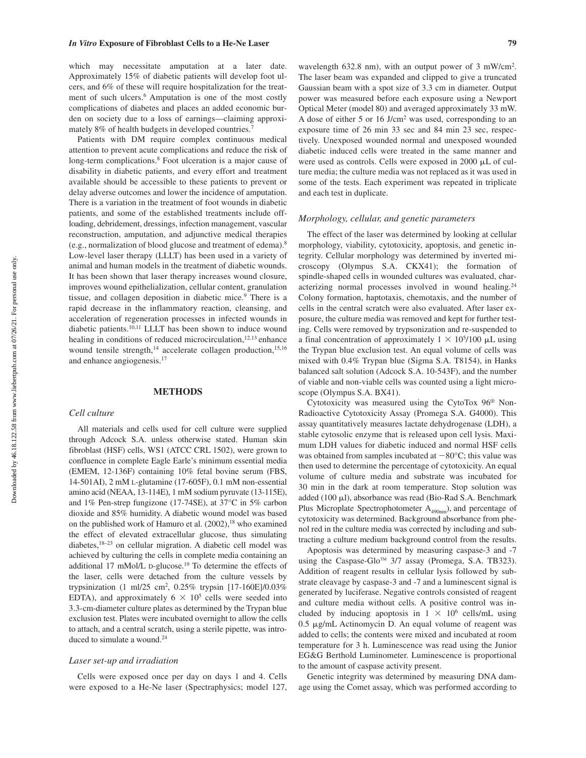which may necessitate amputation at a later date. Approximately 15% of diabetic patients will develop foot ulcers, and 6% of these will require hospitalization for the treatment of such ulcers.<sup>6</sup> Amputation is one of the most costly complications of diabetes and places an added economic burden on society due to a loss of earnings—claiming approximately 8% of health budgets in developed countries.7

Patients with DM require complex continuous medical attention to prevent acute complications and reduce the risk of long-term complications.<sup>8</sup> Foot ulceration is a major cause of disability in diabetic patients, and every effort and treatment available should be accessible to these patients to prevent or delay adverse outcomes and lower the incidence of amputation. There is a variation in the treatment of foot wounds in diabetic patients, and some of the established treatments include offloading, debridement, dressings, infection management, vascular reconstruction, amputation, and adjunctive medical therapies (e.g., normalization of blood glucose and treatment of edema).8 Low-level laser therapy (LLLT) has been used in a variety of animal and human models in the treatment of diabetic wounds. It has been shown that laser therapy increases wound closure, improves wound epithelialization, cellular content, granulation tissue, and collagen deposition in diabetic mice.<sup>9</sup> There is a rapid decrease in the inflammatory reaction, cleansing, and acceleration of regeneration processes in infected wounds in diabetic patients.10,11 LLLT has been shown to induce wound healing in conditions of reduced microcirculation,<sup>12,13</sup> enhance wound tensile strength, $14$  accelerate collagen production, $15,16$ and enhance angiogenesis.17

### **METHODS**

#### *Cell culture*

All materials and cells used for cell culture were supplied through Adcock S.A. unless otherwise stated. Human skin fibroblast (HSF) cells, WS1 (ATCC CRL 1502), were grown to confluence in complete Eagle Earle's minimum essential media (EMEM, 12-136F) containing 10% fetal bovine serum (FBS, 14-501AI), 2 mM L-glutamine (17-605F), 0.1 mM non-essential amino acid (NEAA, 13-114E), 1 mM sodium pyruvate (13-115E), and 1% Pen-strep fungizone (17-74SE), at 37°C in 5% carbon dioxide and 85% humidity. A diabetic wound model was based on the published work of Hamuro et al.  $(2002)$ ,<sup>18</sup> who examined the effect of elevated extracellular glucose, thus simulating diabetes,18–23 on cellular migration. A diabetic cell model was achieved by culturing the cells in complete media containing an additional 17 mMol/L D-glucose.<sup>19</sup> To determine the effects of the laser, cells were detached from the culture vessels by trypsinization (1 ml/25 cm2 , 0.25% trypsin [17-160E]/0.03% EDTA), and approximately  $6 \times 10^5$  cells were seeded into 3.3-cm-diameter culture plates as determined by the Trypan blue exclusion test. Plates were incubated overnight to allow the cells to attach, and a central scratch, using a sterile pipette, was introduced to simulate a wound.<sup>24</sup>

#### *Laser set-up and irradiation*

Cells were exposed once per day on days 1 and 4. Cells were exposed to a He-Ne laser (Spectraphysics; model 127,

wavelength 632.8 nm), with an output power of 3 mW/cm<sup>2</sup>. The laser beam was expanded and clipped to give a truncated Gaussian beam with a spot size of 3.3 cm in diameter. Output power was measured before each exposure using a Newport Optical Meter (model 80) and averaged approximately 33 mW. A dose of either 5 or 16 J/cm2 was used, corresponding to an exposure time of 26 min 33 sec and 84 min 23 sec, respectively. Unexposed wounded normal and unexposed wounded diabetic induced cells were treated in the same manner and were used as controls. Cells were exposed in 2000  $\mu$ L of culture media; the culture media was not replaced as it was used in some of the tests. Each experiment was repeated in triplicate and each test in duplicate.

## *Morphology, cellular, and genetic parameters*

The effect of the laser was determined by looking at cellular morphology, viability, cytotoxicity, apoptosis, and genetic integrity. Cellular morphology was determined by inverted microscopy (Olympus S.A. CKX41); the formation of spindle-shaped cells in wounded cultures was evaluated, characterizing normal processes involved in wound healing.<sup>24</sup> Colony formation, haptotaxis, chemotaxis, and the number of cells in the central scratch were also evaluated. After laser exposure, the culture media was removed and kept for further testing. Cells were removed by trypsonization and re-suspended to a final concentration of approximately  $1 \times 10^{5} / 100 \mu L$  using the Trypan blue exclusion test. An equal volume of cells was mixed with 0.4% Trypan blue (Sigma S.A. T8154), in Hanks balanced salt solution (Adcock S.A. 10-543F), and the number of viable and non-viable cells was counted using a light microscope (Olympus S.A. BX41).

Cytotoxicity was measured using the CytoTox 96® Non-Radioactive Cytotoxicity Assay (Promega S.A. G4000). This assay quantitatively measures lactate dehydrogenase (LDH), a stable cytosolic enzyme that is released upon cell lysis. Maximum LDH values for diabetic induced and normal HSF cells was obtained from samples incubated at  $-80^{\circ}$ C; this value was then used to determine the percentage of cytotoxicity. An equal volume of culture media and substrate was incubated for 30 min in the dark at room temperature. Stop solution was added (100 µl), absorbance was read (Bio-Rad S.A. Benchmark Plus Microplate Spectrophotometer  $A_{490nm}$ ), and percentage of cytotoxicity was determined. Background absorbance from phenol red in the culture media was corrected by including and subtracting a culture medium background control from the results.

Apoptosis was determined by measuring caspase-3 and -7 using the Caspase-Glo<sup>TM</sup>  $3/7$  assay (Promega, S.A. TB323). Addition of reagent results in cellular lysis followed by substrate cleavage by caspase-3 and -7 and a luminescent signal is generated by luciferase. Negative controls consisted of reagent and culture media without cells. A positive control was included by inducing apoptosis in  $1 \times 10^6$  cells/mL using 0.5 µg/mL Actinomycin D. An equal volume of reagent was added to cells; the contents were mixed and incubated at room temperature for 3 h. Luminescence was read using the Junior EG&G Berthold Luminometer. Luminescence is proportional to the amount of caspase activity present.

Genetic integrity was determined by measuring DNA damage using the Comet assay, which was performed according to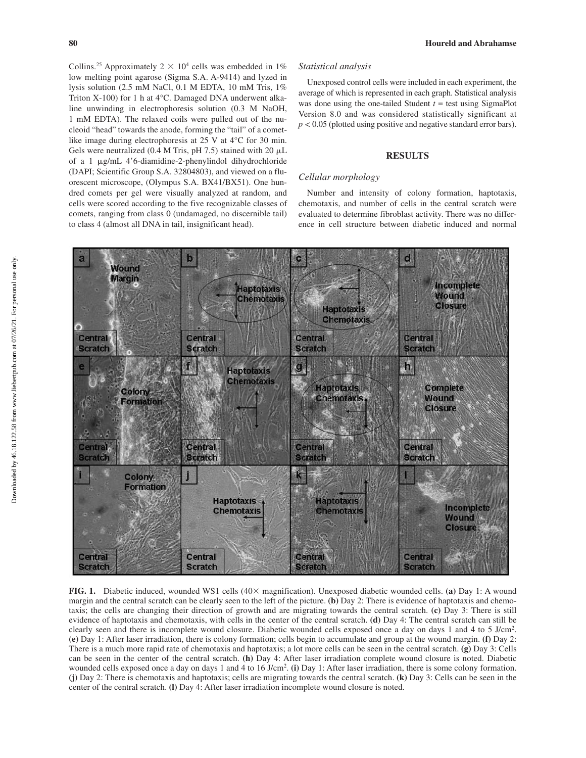Collins.<sup>25</sup> Approximately  $2 \times 10^4$  cells was embedded in 1% low melting point agarose (Sigma S.A. A-9414) and lyzed in lysis solution (2.5 mM NaCl, 0.1 M EDTA, 10 mM Tris, 1% Triton X-100) for 1 h at 4°C. Damaged DNA underwent alkaline unwinding in electrophoresis solution (0.3 M NaOH, 1 mM EDTA). The relaxed coils were pulled out of the nucleoid "head" towards the anode, forming the "tail" of a cometlike image during electrophoresis at 25 V at 4°C for 30 min. Gels were neutralized (0.4 M Tris, pH 7.5) stained with 20  $\mu$ L of a 1 µg/mL 4'6-diamidine-2-phenylindol dihydrochloride (DAPI; Scientific Group S.A. 32804803), and viewed on a fluorescent microscope, (Olympus S.A. BX41/BX51). One hundred comets per gel were visually analyzed at random, and cells were scored according to the five recognizable classes of comets, ranging from class 0 (undamaged, no discernible tail) to class 4 (almost all DNA in tail, insignificant head).

## *Statistical analysis*

Unexposed control cells were included in each experiment, the average of which is represented in each graph. Statistical analysis was done using the one-tailed Student *t* = test using SigmaPlot Version 8.0 and was considered statistically significant at  $p < 0.05$  (plotted using positive and negative standard error bars).

## **RESULTS**

#### *Cellular morphology*

Number and intensity of colony formation, haptotaxis, chemotaxis, and number of cells in the central scratch were evaluated to determine fibroblast activity. There was no difference in cell structure between diabetic induced and normal



**FIG. 1.** Diabetic induced, wounded WS1 cells (40× magnification). Unexposed diabetic wounded cells. **(a)** Day 1: A wound margin and the central scratch can be clearly seen to the left of the picture. **(b)** Day 2: There is evidence of haptotaxis and chemotaxis; the cells are changing their direction of growth and are migrating towards the central scratch. **(c)** Day 3: There is still evidence of haptotaxis and chemotaxis, with cells in the center of the central scratch. **(d)** Day 4: The central scratch can still be clearly seen and there is incomplete wound closure. Diabetic wounded cells exposed once a day on days 1 and 4 to 5 J/cm<sup>2</sup>. **(e)** Day 1: After laser irradiation, there is colony formation; cells begin to accumulate and group at the wound margin. **(f)** Day 2: There is a much more rapid rate of chemotaxis and haptotaxis; a lot more cells can be seen in the central scratch. **(g)** Day 3: Cells can be seen in the center of the central scratch. **(h)** Day 4: After laser irradiation complete wound closure is noted. Diabetic wounded cells exposed once a day on days 1 and 4 to 16 J/cm2 . **(i)** Day 1: After laser irradiation, there is some colony formation. **(j)** Day 2: There is chemotaxis and haptotaxis; cells are migrating towards the central scratch. **(k)** Day 3: Cells can be seen in the center of the central scratch. **(l)** Day 4: After laser irradiation incomplete wound closure is noted.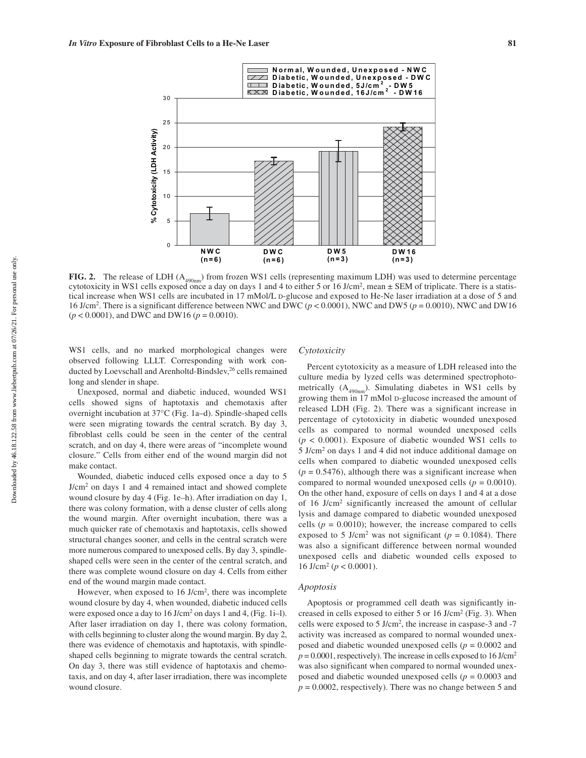

**FIG. 2.** The release of LDH (A<sub>490nm</sub>) from frozen WS1 cells (representing maximum LDH) was used to determine percentage cytotoxicity in WS1 cells exposed once a day on days 1 and 4 to either 5 or 16 J/cm<sup>2</sup>, mean  $\pm$  SEM of triplicate. There is a statistical increase when WS1 cells are incubated in 17 mMol/L D-glucose and exposed to He-Ne laser irradiation at a dose of 5 and 16 J/cm<sup>2</sup>. There is a significant difference between NWC and DWC ( $p < 0.0001$ ), NWC and DW5 ( $p = 0.0010$ ), NWC and DW16 (*p* < 0.0001), and DWC and DW16 (*p* = 0.0010).

WS1 cells, and no marked morphological changes were observed following LLLT. Corresponding with work conducted by Loevschall and Arenholtd-Bindslev,<sup>26</sup> cells remained long and slender in shape.

Unexposed, normal and diabetic induced, wounded WS1 cells showed signs of haptotaxis and chemotaxis after overnight incubation at 37°C (Fig. 1a–d). Spindle-shaped cells were seen migrating towards the central scratch. By day 3, fibroblast cells could be seen in the center of the central scratch, and on day 4, there were areas of "incomplete wound closure." Cells from either end of the wound margin did not make contact.

Wounded, diabetic induced cells exposed once a day to 5 J/cm2 on days 1 and 4 remained intact and showed complete wound closure by day 4 (Fig. 1e–h). After irradiation on day 1, there was colony formation, with a dense cluster of cells along the wound margin. After overnight incubation, there was a much quicker rate of chemotaxis and haptotaxis, cells showed structural changes sooner, and cells in the central scratch were more numerous compared to unexposed cells. By day 3, spindleshaped cells were seen in the center of the central scratch, and there was complete wound closure on day 4. Cells from either end of the wound margin made contact.

However, when exposed to 16 J/cm2, there was incomplete wound closure by day 4, when wounded, diabetic induced cells were exposed once a day to 16 J/cm<sup>2</sup> on days 1 and 4, (Fig. 1i–1). After laser irradiation on day 1, there was colony formation, with cells beginning to cluster along the wound margin. By day 2, there was evidence of chemotaxis and haptotaxis, with spindleshaped cells beginning to migrate towards the central scratch. On day 3, there was still evidence of haptotaxis and chemotaxis, and on day 4, after laser irradiation, there was incomplete wound closure.

## *Cytotoxicity*

Percent cytotoxicity as a measure of LDH released into the culture media by lyzed cells was determined spectrophotometrically  $(A_{490nm})$ . Simulating diabetes in WS1 cells by growing them in 17 mMol D-glucose increased the amount of released LDH (Fig. 2). There was a significant increase in percentage of cytotoxicity in diabetic wounded unexposed cells as compared to normal wounded unexposed cells  $(p < 0.0001)$ . Exposure of diabetic wounded WS1 cells to 5 J/cm2 on days 1 and 4 did not induce additional damage on cells when compared to diabetic wounded unexposed cells  $(p = 0.5476)$ , although there was a significant increase when compared to normal wounded unexposed cells ( $p = 0.0010$ ). On the other hand, exposure of cells on days 1 and 4 at a dose of 16 J/cm2 significantly increased the amount of cellular lysis and damage compared to diabetic wounded unexposed cells ( $p = 0.0010$ ); however, the increase compared to cells exposed to 5 J/cm<sup>2</sup> was not significant ( $p = 0.1084$ ). There was also a significant difference between normal wounded unexposed cells and diabetic wounded cells exposed to 16 J/cm<sup>2</sup> ( $p < 0.0001$ ).

#### *Apoptosis*

Apoptosis or programmed cell death was significantly increased in cells exposed to either 5 or 16 J/cm2 (Fig. 3). When cells were exposed to 5 J/cm2 , the increase in caspase-3 and -7 activity was increased as compared to normal wounded unexposed and diabetic wounded unexposed cells (*p* = 0.0002 and  $p = 0.0001$ , respectively). The increase in cells exposed to 16 J/cm<sup>2</sup> was also significant when compared to normal wounded unexposed and diabetic wounded unexposed cells (*p* = 0.0003 and  $p = 0.0002$ , respectively). There was no change between 5 and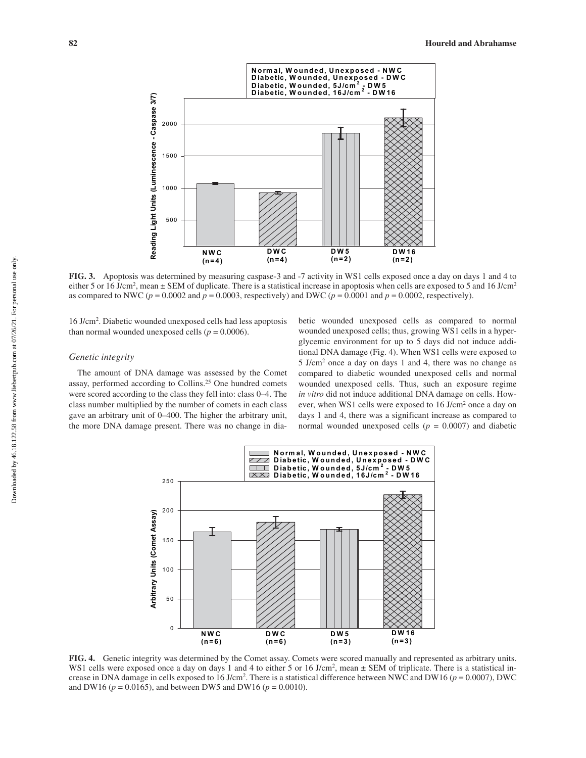

**FIG. 3.** Apoptosis was determined by measuring caspase-3 and -7 activity in WS1 cells exposed once a day on days 1 and 4 to either 5 or 16 J/cm<sup>2</sup>, mean  $\pm$  SEM of duplicate. There is a statistical increase in apoptosis when cells are exposed to 5 and 16 J/cm<sup>2</sup> as compared to NWC ( $p = 0.0002$  and  $p = 0.0003$ , respectively) and DWC ( $p = 0.0001$  and  $p = 0.0002$ , respectively).

16 J/cm2 . Diabetic wounded unexposed cells had less apoptosis than normal wounded unexposed cells ( $p = 0.0006$ ).

## *Genetic integrity*

The amount of DNA damage was assessed by the Comet assay, performed according to Collins.<sup>25</sup> One hundred comets were scored according to the class they fell into: class 0–4. The class number multiplied by the number of comets in each class gave an arbitrary unit of 0–400. The higher the arbitrary unit, the more DNA damage present. There was no change in diabetic wounded unexposed cells as compared to normal wounded unexposed cells; thus, growing WS1 cells in a hyperglycemic environment for up to 5 days did not induce additional DNA damage (Fig. 4). When WS1 cells were exposed to 5 J/cm2 once a day on days 1 and 4, there was no change as compared to diabetic wounded unexposed cells and normal wounded unexposed cells. Thus, such an exposure regime *in vitro* did not induce additional DNA damage on cells. However, when WS1 cells were exposed to 16 J/cm2 once a day on days 1 and 4, there was a significant increase as compared to normal wounded unexposed cells ( $p = 0.0007$ ) and diabetic



**FIG. 4.** Genetic integrity was determined by the Comet assay. Comets were scored manually and represented as arbitrary units. WS1 cells were exposed once a day on days 1 and 4 to either 5 or 16 J/cm<sup>2</sup>, mean  $\pm$  SEM of triplicate. There is a statistical increase in DNA damage in cells exposed to  $16 \text{ J/cm}^2$ . There is a statistical difference between NWC and DW16 ( $p = 0.0007$ ), DWC and DW16 ( $p = 0.0165$ ), and between DW5 and DW16 ( $p = 0.0010$ ).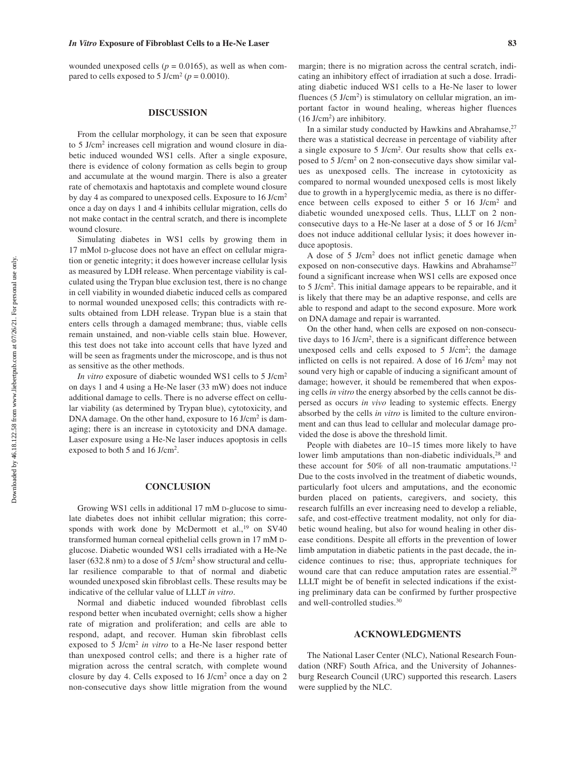## *In Vitro* **Exposure of Fibroblast Cells to a He-Ne Laser 83**

wounded unexposed cells ( $p = 0.0165$ ), as well as when compared to cells exposed to 5 J/cm<sup>2</sup> ( $p = 0.0010$ ).

## **DISCUSSION**

From the cellular morphology, it can be seen that exposure to 5 J/cm2 increases cell migration and wound closure in diabetic induced wounded WS1 cells. After a single exposure, there is evidence of colony formation as cells begin to group and accumulate at the wound margin. There is also a greater rate of chemotaxis and haptotaxis and complete wound closure by day 4 as compared to unexposed cells. Exposure to 16 J/cm2 once a day on days 1 and 4 inhibits cellular migration, cells do not make contact in the central scratch, and there is incomplete wound closure.

Simulating diabetes in WS1 cells by growing them in 17 mMol D-glucose does not have an effect on cellular migration or genetic integrity; it does however increase cellular lysis as measured by LDH release. When percentage viability is calculated using the Trypan blue exclusion test, there is no change in cell viability in wounded diabetic induced cells as compared to normal wounded unexposed cells; this contradicts with results obtained from LDH release. Trypan blue is a stain that enters cells through a damaged membrane; thus, viable cells remain unstained, and non-viable cells stain blue. However, this test does not take into account cells that have lyzed and will be seen as fragments under the microscope, and is thus not as sensitive as the other methods.

*In vitro* exposure of diabetic wounded WS1 cells to 5 J/cm<sup>2</sup> on days 1 and 4 using a He-Ne laser (33 mW) does not induce additional damage to cells. There is no adverse effect on cellular viability (as determined by Trypan blue), cytotoxicity, and DNA damage. On the other hand, exposure to 16 J/cm<sup>2</sup> is damaging; there is an increase in cytotoxicity and DNA damage. Laser exposure using a He-Ne laser induces apoptosis in cells exposed to both 5 and 16 J/cm<sup>2</sup>.

## **CONCLUSION**

Growing WS1 cells in additional 17 mM D-glucose to simulate diabetes does not inhibit cellular migration; this corresponds with work done by McDermott et al.,<sup>19</sup> on SV40 transformed human corneal epithelial cells grown in 17 mM Dglucose. Diabetic wounded WS1 cells irradiated with a He-Ne laser (632.8 nm) to a dose of 5 J/cm2 show structural and cellular resilience comparable to that of normal and diabetic wounded unexposed skin fibroblast cells. These results may be indicative of the cellular value of LLLT *in vitro*.

Normal and diabetic induced wounded fibroblast cells respond better when incubated overnight; cells show a higher rate of migration and proliferation; and cells are able to respond, adapt, and recover. Human skin fibroblast cells exposed to 5 J/cm2 *in vitro* to a He-Ne laser respond better than unexposed control cells; and there is a higher rate of migration across the central scratch, with complete wound closure by day 4. Cells exposed to 16 J/cm2 once a day on 2 non-consecutive days show little migration from the wound

margin; there is no migration across the central scratch, indicating an inhibitory effect of irradiation at such a dose. Irradiating diabetic induced WS1 cells to a He-Ne laser to lower fluences (5 J/cm<sup>2</sup>) is stimulatory on cellular migration, an important factor in wound healing, whereas higher fluences  $(16 \text{ J/cm}^2)$  are inhibitory.

In a similar study conducted by Hawkins and Abrahamse.<sup>27</sup> there was a statistical decrease in percentage of viability after a single exposure to 5 J/cm2. Our results show that cells exposed to 5 J/cm2 on 2 non-consecutive days show similar values as unexposed cells. The increase in cytotoxicity as compared to normal wounded unexposed cells is most likely due to growth in a hyperglycemic media, as there is no difference between cells exposed to either 5 or 16 J/cm2 and diabetic wounded unexposed cells. Thus, LLLT on 2 nonconsecutive days to a He-Ne laser at a dose of 5 or 16 J/cm2 does not induce additional cellular lysis; it does however induce apoptosis.

A dose of 5 J/cm2 does not inflict genetic damage when exposed on non-consecutive days. Hawkins and Abrahamse<sup>27</sup> found a significant increase when WS1 cells are exposed once to 5 J/cm<sup>2</sup>. This initial damage appears to be repairable, and it is likely that there may be an adaptive response, and cells are able to respond and adapt to the second exposure. More work on DNA damage and repair is warranted.

On the other hand, when cells are exposed on non-consecutive days to 16 J/cm2, there is a significant difference between unexposed cells and cells exposed to 5 J/cm2 ; the damage inflicted on cells is not repaired. A dose of 16 J/cm2 may not sound very high or capable of inducing a significant amount of damage; however, it should be remembered that when exposing cells *in vitro* the energy absorbed by the cells cannot be dispersed as occurs *in vivo* leading to systemic effects. Energy absorbed by the cells *in vitro* is limited to the culture environment and can thus lead to cellular and molecular damage provided the dose is above the threshold limit.

People with diabetes are 10–15 times more likely to have lower limb amputations than non-diabetic individuals,<sup>28</sup> and these account for 50% of all non-traumatic amputations.<sup>12</sup> Due to the costs involved in the treatment of diabetic wounds, particularly foot ulcers and amputations, and the economic burden placed on patients, caregivers, and society, this research fulfills an ever increasing need to develop a reliable, safe, and cost-effective treatment modality, not only for diabetic wound healing, but also for wound healing in other disease conditions. Despite all efforts in the prevention of lower limb amputation in diabetic patients in the past decade, the incidence continues to rise; thus, appropriate techniques for wound care that can reduce amputation rates are essential.<sup>29</sup> LLLT might be of benefit in selected indications if the existing preliminary data can be confirmed by further prospective and well-controlled studies.30

## **ACKNOWLEDGMENTS**

The National Laser Center (NLC), National Research Foundation (NRF) South Africa, and the University of Johannesburg Research Council (URC) supported this research. Lasers were supplied by the NLC.